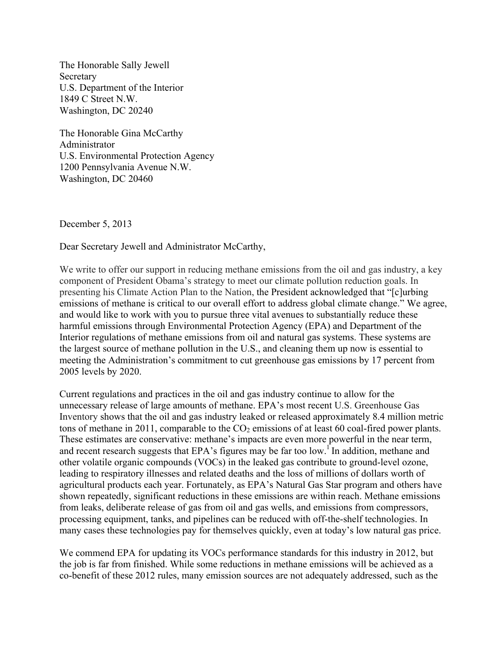The Honorable Sally Jewell Secretary U.S. Department of the Interior 1849 C Street N.W. Washington, DC 20240

The Honorable Gina McCarthy Administrator U.S. Environmental Protection Agency 1200 Pennsylvania Avenue N.W. Washington, DC 20460

December 5, 2013

Dear Secretary Jewell and Administrator McCarthy,

We write to offer our support in reducing methane emissions from the oil and gas industry, a key component of President Obama's strategy to meet our climate pollution reduction goals. In presenting his Climate Action Plan to the Nation, the President acknowledged that "[c]urbing emissions of methane is critical to our overall effort to address global climate change." We agree, and would like to work with you to pursue three vital avenues to substantially reduce these harmful emissions through Environmental Protection Agency (EPA) and Department of the Interior regulations of methane emissions from oil and natural gas systems. These systems are the largest source of methane pollution in the U.S., and cleaning them up now is essential to meeting the Administration's commitment to cut greenhouse gas emissions by 17 percent from 2005 levels by 2020.

Current regulations and practices in the oil and gas industry continue to allow for the unnecessary release of large amounts of methane. EPA's most recent U.S. Greenhouse Gas Inventory shows that the oil and gas industry leaked or released approximately 8.4 million metric tons of methane in 2011, comparable to the  $CO<sub>2</sub>$  emissions of at least 60 coal-fired power plants. These estimates are conservative: methane's impacts are even more powerful in the near term, and recent research suggests that EPA's figures may be far too low.<sup>1</sup> In addition, methane and other volatile organic compounds (VOCs) in the leaked gas contribute to ground-level ozone, leading to respiratory illnesses and related deaths and the loss of millions of dollars worth of agricultural products each year. Fortunately, as EPA's Natural Gas Star program and others have shown repeatedly, significant reductions in these emissions are within reach. Methane emissions from leaks, deliberate release of gas from oil and gas wells, and emissions from compressors, processing equipment, tanks, and pipelines can be reduced with off-the-shelf technologies. In many cases these technologies pay for themselves quickly, even at today's low natural gas price.

We commend EPA for updating its VOCs performance standards for this industry in 2012, but the job is far from finished. While some reductions in methane emissions will be achieved as a co-benefit of these 2012 rules, many emission sources are not adequately addressed, such as the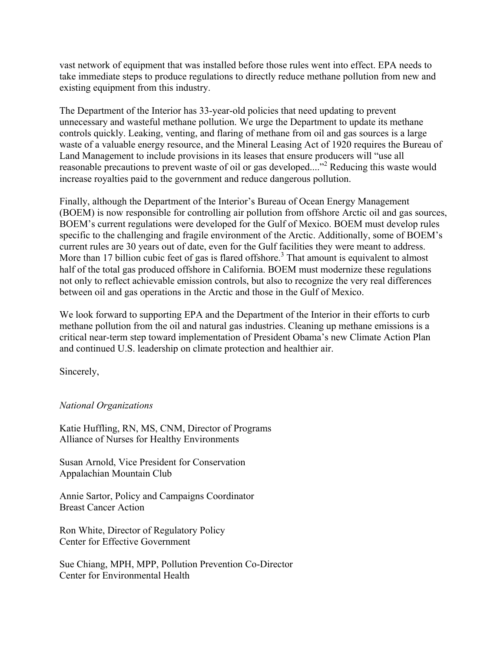vast network of equipment that was installed before those rules went into effect. EPA needs to take immediate steps to produce regulations to directly reduce methane pollution from new and existing equipment from this industry.

The Department of the Interior has 33-year-old policies that need updating to prevent unnecessary and wasteful methane pollution. We urge the Department to update its methane controls quickly. Leaking, venting, and flaring of methane from oil and gas sources is a large waste of a valuable energy resource, and the Mineral Leasing Act of 1920 requires the Bureau of Land Management to include provisions in its leases that ensure producers will "use all reasonable precautions to prevent waste of oil or gas developed...."<sup>2</sup> Reducing this waste would increase royalties paid to the government and reduce dangerous pollution.

Finally, although the Department of the Interior's Bureau of Ocean Energy Management (BOEM) is now responsible for controlling air pollution from offshore Arctic oil and gas sources, BOEM's current regulations were developed for the Gulf of Mexico. BOEM must develop rules specific to the challenging and fragile environment of the Arctic. Additionally, some of BOEM's current rules are 30 years out of date, even for the Gulf facilities they were meant to address. More than 17 billion cubic feet of gas is flared offshore.<sup>3</sup> That amount is equivalent to almost half of the total gas produced offshore in California. BOEM must modernize these regulations not only to reflect achievable emission controls, but also to recognize the very real differences between oil and gas operations in the Arctic and those in the Gulf of Mexico.

We look forward to supporting EPA and the Department of the Interior in their efforts to curb methane pollution from the oil and natural gas industries. Cleaning up methane emissions is a critical near-term step toward implementation of President Obama's new Climate Action Plan and continued U.S. leadership on climate protection and healthier air.

Sincerely,

*National Organizations* 

Katie Huffling, RN, MS, CNM, Director of Programs Alliance of Nurses for Healthy Environments

Susan Arnold, Vice President for Conservation Appalachian Mountain Club

Annie Sartor, Policy and Campaigns Coordinator Breast Cancer Action

Ron White, Director of Regulatory Policy Center for Effective Government

Sue Chiang, MPH, MPP, Pollution Prevention Co-Director Center for Environmental Health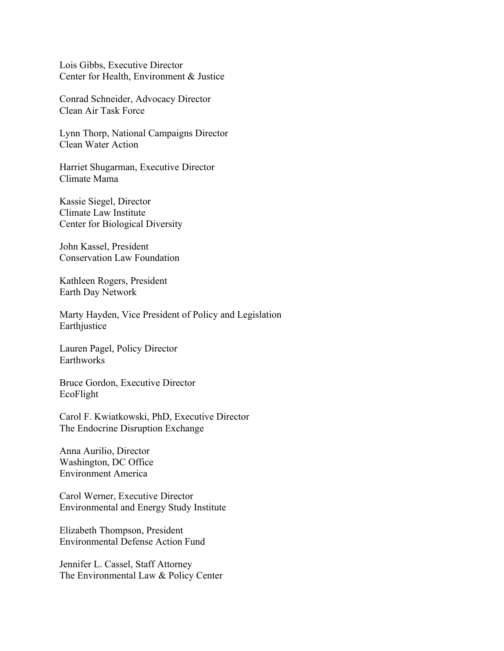Lois Gibbs, Executive Director Center for Health, Environment & Justice

Conrad Schneider, Advocacy Director Clean Air Task Force

Lynn Thorp, National Campaigns Director Clean Water Action

Harriet Shugarman, Executive Director Climate Mama

Kassie Siegel, Director Climate Law Institute Center for Biological Diversity

John Kassel, President Conservation Law Foundation

Kathleen Rogers, President Earth Day Network

Marty Hayden, Vice President of Policy and Legislation Earthjustice

Lauren Pagel, Policy Director **Earthworks** 

Bruce Gordon, Executive Director EcoFlight

Carol F. Kwiatkowski, PhD, Executive Director The Endocrine Disruption Exchange

Anna Aurilio, Director Washington, DC Office Environment America

Carol Werner, Executive Director Environmental and Energy Study Institute

Elizabeth Thompson, President Environmental Defense Action Fund

Jennifer L. Cassel, Staff Attorney The Environmental Law & Policy Center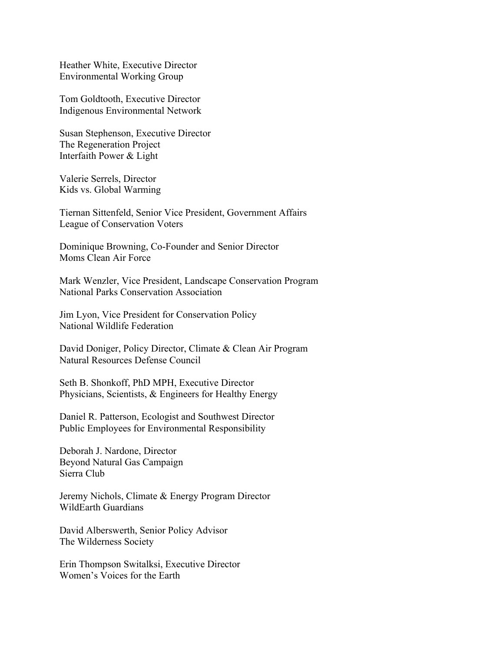Heather White, Executive Director Environmental Working Group

Tom Goldtooth, Executive Director Indigenous Environmental Network

Susan Stephenson, Executive Director The Regeneration Project Interfaith Power & Light

Valerie Serrels, Director Kids vs. Global Warming

Tiernan Sittenfeld, Senior Vice President, Government Affairs League of Conservation Voters

Dominique Browning, Co-Founder and Senior Director Moms Clean Air Force

Mark Wenzler, Vice President, Landscape Conservation Program National Parks Conservation Association

Jim Lyon, Vice President for Conservation Policy National Wildlife Federation

David Doniger, Policy Director, Climate & Clean Air Program Natural Resources Defense Council

Seth B. Shonkoff, PhD MPH, Executive Director Physicians, Scientists, & Engineers for Healthy Energy

Daniel R. Patterson, Ecologist and Southwest Director Public Employees for Environmental Responsibility

Deborah J. Nardone, Director Beyond Natural Gas Campaign Sierra Club

Jeremy Nichols, Climate & Energy Program Director WildEarth Guardians

David Alberswerth, Senior Policy Advisor The Wilderness Society

Erin Thompson Switalksi, Executive Director Women's Voices for the Earth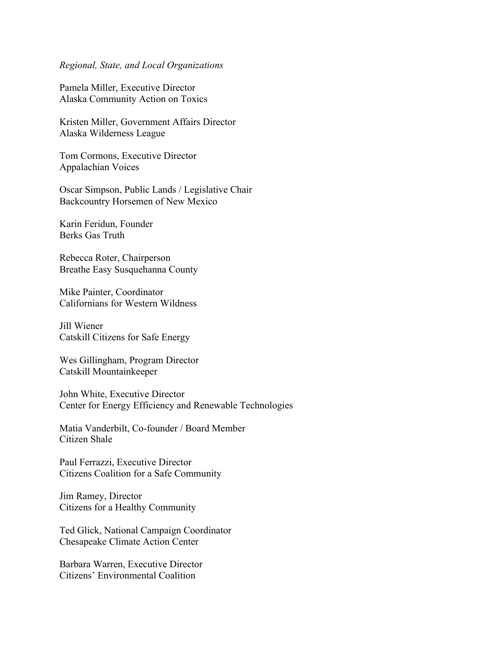## *Regional, State, and Local Organizations*

Pamela Miller, Executive Director Alaska Community Action on Toxics

Kristen Miller, Government Affairs Director Alaska Wilderness League

Tom Cormons, Executive Director Appalachian Voices

Oscar Simpson, Public Lands / Legislative Chair Backcountry Horsemen of New Mexico

Karin Feridun, Founder Berks Gas Truth

Rebecca Roter, Chairperson Breathe Easy Susquehanna County

Mike Painter, Coordinator Californians for Western Wildness

Jill Wiener Catskill Citizens for Safe Energy

Wes Gillingham, Program Director Catskill Mountainkeeper

John White, Executive Director Center for Energy Efficiency and Renewable Technologies

Matia Vanderbilt, Co-founder / Board Member Citizen Shale

Paul Ferrazzi, Executive Director Citizens Coalition for a Safe Community

Jim Ramey, Director Citizens for a Healthy Community

Ted Glick, National Campaign Coordinator Chesapeake Climate Action Center

Barbara Warren, Executive Director Citizens' Environmental Coalition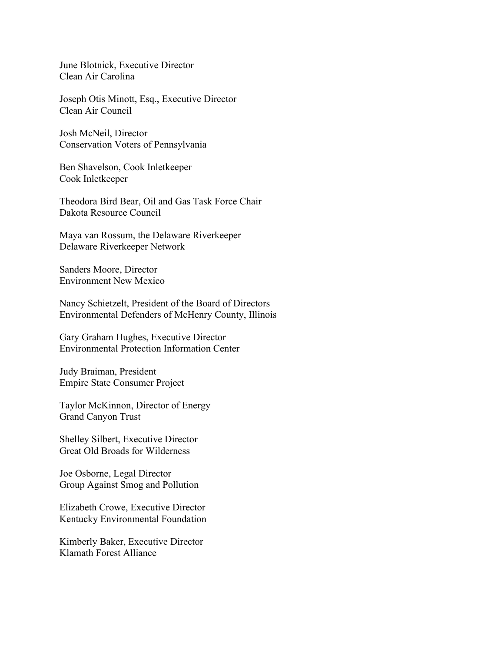June Blotnick, Executive Director Clean Air Carolina

Joseph Otis Minott, Esq., Executive Director Clean Air Council

Josh McNeil, Director Conservation Voters of Pennsylvania

Ben Shavelson, Cook Inletkeeper Cook Inletkeeper

Theodora Bird Bear, Oil and Gas Task Force Chair Dakota Resource Council

Maya van Rossum, the Delaware Riverkeeper Delaware Riverkeeper Network

Sanders Moore, Director Environment New Mexico

Nancy Schietzelt, President of the Board of Directors Environmental Defenders of McHenry County, Illinois

Gary Graham Hughes, Executive Director Environmental Protection Information Center

Judy Braiman, President Empire State Consumer Project

Taylor McKinnon, Director of Energy Grand Canyon Trust

Shelley Silbert, Executive Director Great Old Broads for Wilderness

Joe Osborne, Legal Director Group Against Smog and Pollution

Elizabeth Crowe, Executive Director Kentucky Environmental Foundation

Kimberly Baker, Executive Director Klamath Forest Alliance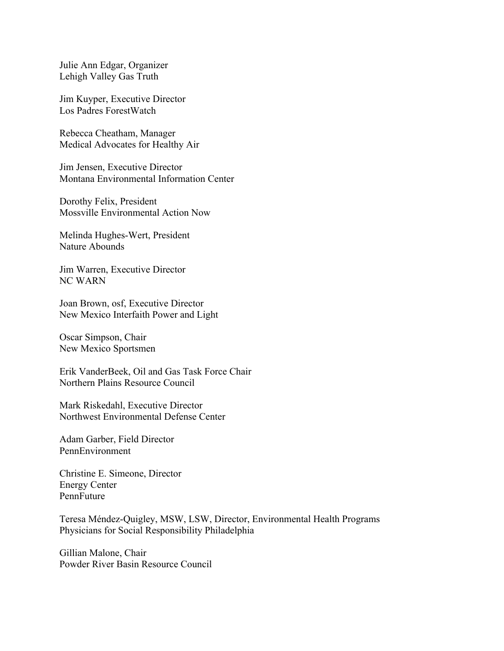Julie Ann Edgar, Organizer Lehigh Valley Gas Truth

Jim Kuyper, Executive Director Los Padres ForestWatch

Rebecca Cheatham, Manager Medical Advocates for Healthy Air

Jim Jensen, Executive Director Montana Environmental Information Center

Dorothy Felix, President Mossville Environmental Action Now

Melinda Hughes-Wert, President Nature Abounds

Jim Warren, Executive Director NC WARN

Joan Brown, osf, Executive Director New Mexico Interfaith Power and Light

Oscar Simpson, Chair New Mexico Sportsmen

Erik VanderBeek, Oil and Gas Task Force Chair Northern Plains Resource Council

Mark Riskedahl, Executive Director Northwest Environmental Defense Center

Adam Garber, Field Director PennEnvironment

Christine E. Simeone, Director Energy Center PennFuture

Teresa Méndez-Quigley, MSW, LSW, Director, Environmental Health Programs Physicians for Social Responsibility Philadelphia

Gillian Malone, Chair Powder River Basin Resource Council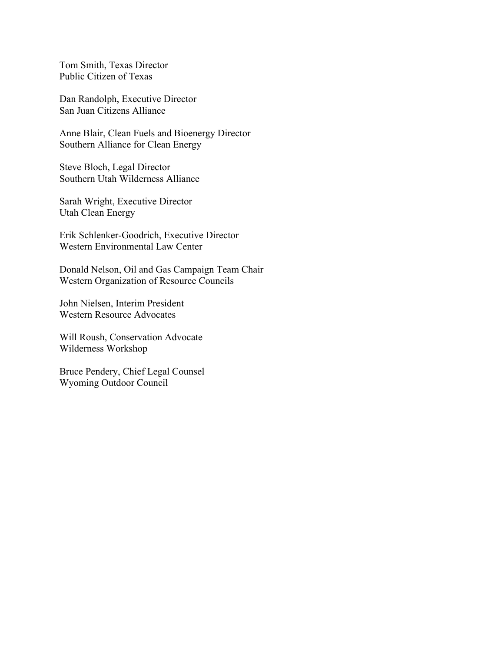Tom Smith, Texas Director Public Citizen of Texas

Dan Randolph, Executive Director San Juan Citizens Alliance

Anne Blair, Clean Fuels and Bioenergy Director Southern Alliance for Clean Energy

Steve Bloch, Legal Director Southern Utah Wilderness Alliance

Sarah Wright, Executive Director Utah Clean Energy

Erik Schlenker-Goodrich, Executive Director Western Environmental Law Center

Donald Nelson, Oil and Gas Campaign Team Chair Western Organization of Resource Councils

John Nielsen, Interim President Western Resource Advocates

Will Roush, Conservation Advocate Wilderness Workshop

Bruce Pendery, Chief Legal Counsel Wyoming Outdoor Council